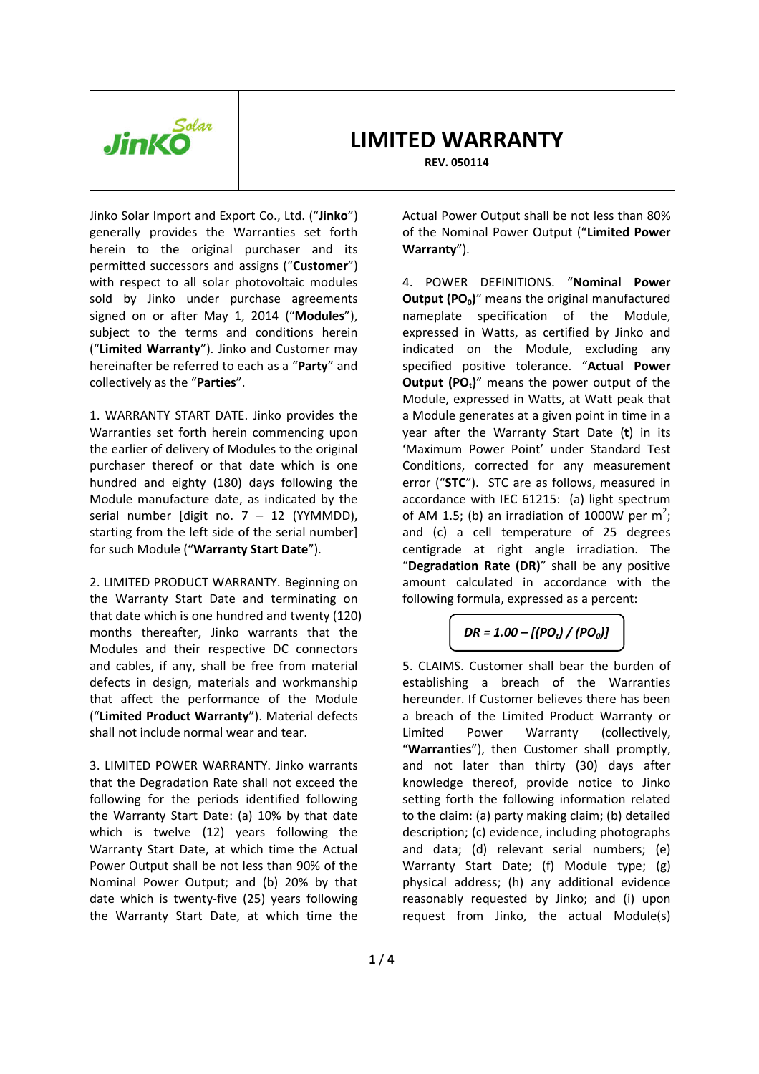

**REV. 050114** 

Jinko Solar Import and Export Co., Ltd. ("**Jinko**") generally provides the Warranties set forth herein to the original purchaser and its permitted successors and assigns ("**Customer**") with respect to all solar photovoltaic modules sold by Jinko under purchase agreements signed on or after May 1, 2014 ("**Modules**"), subject to the terms and conditions herein ("**Limited Warranty**"). Jinko and Customer may hereinafter be referred to each as a "**Party**" and collectively as the "**Parties**".

1. WARRANTY START DATE. Jinko provides the Warranties set forth herein commencing upon the earlier of delivery of Modules to the original purchaser thereof or that date which is one hundred and eighty (180) days following the Module manufacture date, as indicated by the serial number [digit no.  $7 - 12$  (YYMMDD), starting from the left side of the serial number] for such Module ("**Warranty Start Date**").

2. LIMITED PRODUCT WARRANTY. Beginning on the Warranty Start Date and terminating on that date which is one hundred and twenty (120) months thereafter, Jinko warrants that the Modules and their respective DC connectors and cables, if any, shall be free from material defects in design, materials and workmanship that affect the performance of the Module ("**Limited Product Warranty**"). Material defects shall not include normal wear and tear.

3. LIMITED POWER WARRANTY. Jinko warrants that the Degradation Rate shall not exceed the following for the periods identified following the Warranty Start Date: (a) 10% by that date which is twelve (12) years following the Warranty Start Date, at which time the Actual Power Output shall be not less than 90% of the Nominal Power Output; and (b) 20% by that date which is twenty-five (25) years following the Warranty Start Date, at which time the

Actual Power Output shall be not less than 80% of the Nominal Power Output ("**Limited Power Warranty**").

4. POWER DEFINITIONS. "**Nominal Power Output (PO0)**" means the original manufactured nameplate specification of the Module, expressed in Watts, as certified by Jinko and indicated on the Module, excluding any specified positive tolerance. "**Actual Power Output (POt)**" means the power output of the Module, expressed in Watts, at Watt peak that a Module generates at a given point in time in a year after the Warranty Start Date (**t**) in its 'Maximum Power Point' under Standard Test Conditions, corrected for any measurement error ("**STC**"). STC are as follows, measured in accordance with IEC 61215: (a) light spectrum of AM 1.5; (b) an irradiation of 1000W per  $m^2$ ; and (c) a cell temperature of 25 degrees centigrade at right angle irradiation. The "**Degradation Rate (DR)**" shall be any positive amount calculated in accordance with the following formula, expressed as a percent:

# *DR = 1.00 – [(POt) / (PO0)]*

5. CLAIMS. Customer shall bear the burden of establishing a breach of the Warranties hereunder. If Customer believes there has been a breach of the Limited Product Warranty or Limited Power Warranty (collectively, "**Warranties**"), then Customer shall promptly, and not later than thirty (30) days after knowledge thereof, provide notice to Jinko setting forth the following information related to the claim: (a) party making claim; (b) detailed description; (c) evidence, including photographs and data; (d) relevant serial numbers; (e) Warranty Start Date; (f) Module type; (g) physical address; (h) any additional evidence reasonably requested by Jinko; and (i) upon request from Jinko, the actual Module(s)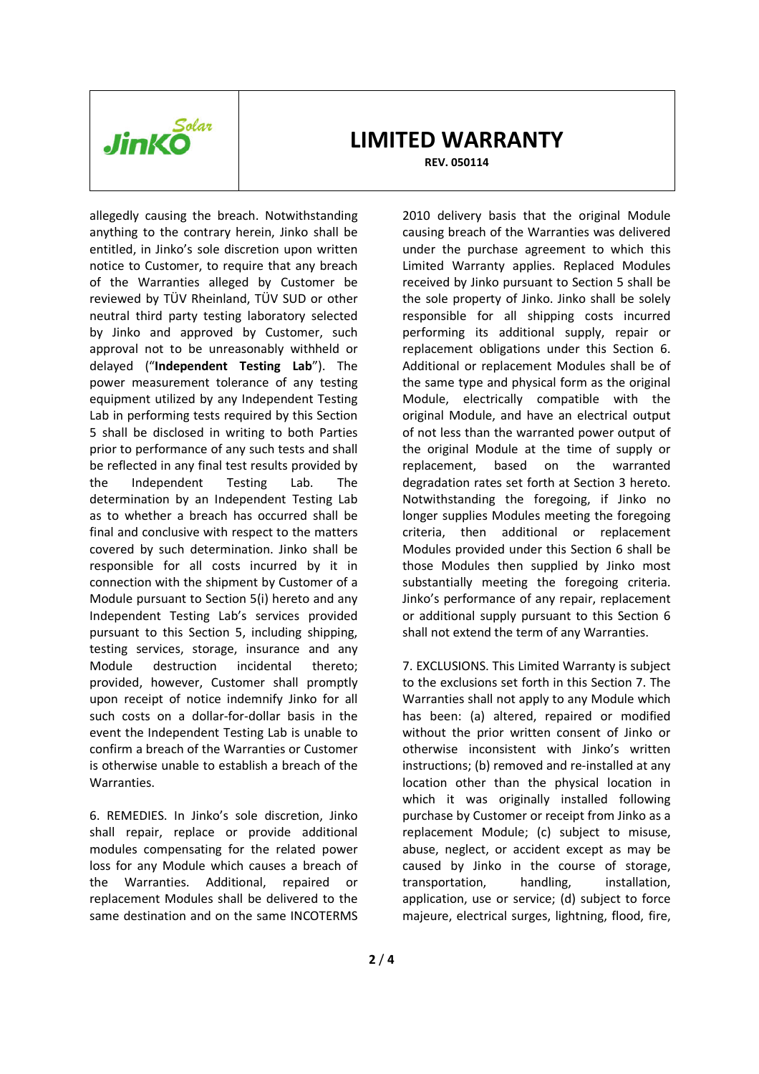

**REV. 050114** 

allegedly causing the breach. Notwithstanding anything to the contrary herein, Jinko shall be entitled, in Jinko's sole discretion upon written notice to Customer, to require that any breach of the Warranties alleged by Customer be reviewed by TÜV Rheinland, TÜV SUD or other neutral third party testing laboratory selected by Jinko and approved by Customer, such approval not to be unreasonably withheld or delayed ("**Independent Testing Lab**"). The power measurement tolerance of any testing equipment utilized by any Independent Testing Lab in performing tests required by this Section 5 shall be disclosed in writing to both Parties prior to performance of any such tests and shall be reflected in any final test results provided by the Independent Testing Lab. The determination by an Independent Testing Lab as to whether a breach has occurred shall be final and conclusive with respect to the matters covered by such determination. Jinko shall be responsible for all costs incurred by it in connection with the shipment by Customer of a Module pursuant to Section 5(i) hereto and any Independent Testing Lab's services provided pursuant to this Section 5, including shipping, testing services, storage, insurance and any Module destruction incidental thereto; provided, however, Customer shall promptly upon receipt of notice indemnify Jinko for all such costs on a dollar-for-dollar basis in the event the Independent Testing Lab is unable to confirm a breach of the Warranties or Customer is otherwise unable to establish a breach of the Warranties.

6. REMEDIES. In Jinko's sole discretion, Jinko shall repair, replace or provide additional modules compensating for the related power loss for any Module which causes a breach of the Warranties. Additional, repaired or replacement Modules shall be delivered to the same destination and on the same INCOTERMS

2010 delivery basis that the original Module causing breach of the Warranties was delivered under the purchase agreement to which this Limited Warranty applies. Replaced Modules received by Jinko pursuant to Section 5 shall be the sole property of Jinko. Jinko shall be solely responsible for all shipping costs incurred performing its additional supply, repair or replacement obligations under this Section 6. Additional or replacement Modules shall be of the same type and physical form as the original Module, electrically compatible with the original Module, and have an electrical output of not less than the warranted power output of the original Module at the time of supply or replacement, based on the warranted degradation rates set forth at Section 3 hereto. Notwithstanding the foregoing, if Jinko no longer supplies Modules meeting the foregoing criteria, then additional or replacement Modules provided under this Section 6 shall be those Modules then supplied by Jinko most substantially meeting the foregoing criteria. Jinko's performance of any repair, replacement or additional supply pursuant to this Section 6 shall not extend the term of any Warranties.

7. EXCLUSIONS. This Limited Warranty is subject to the exclusions set forth in this Section 7. The Warranties shall not apply to any Module which has been: (a) altered, repaired or modified without the prior written consent of Jinko or otherwise inconsistent with Jinko's written instructions; (b) removed and re-installed at any location other than the physical location in which it was originally installed following purchase by Customer or receipt from Jinko as a replacement Module; (c) subject to misuse, abuse, neglect, or accident except as may be caused by Jinko in the course of storage, transportation, handling, installation, application, use or service; (d) subject to force majeure, electrical surges, lightning, flood, fire,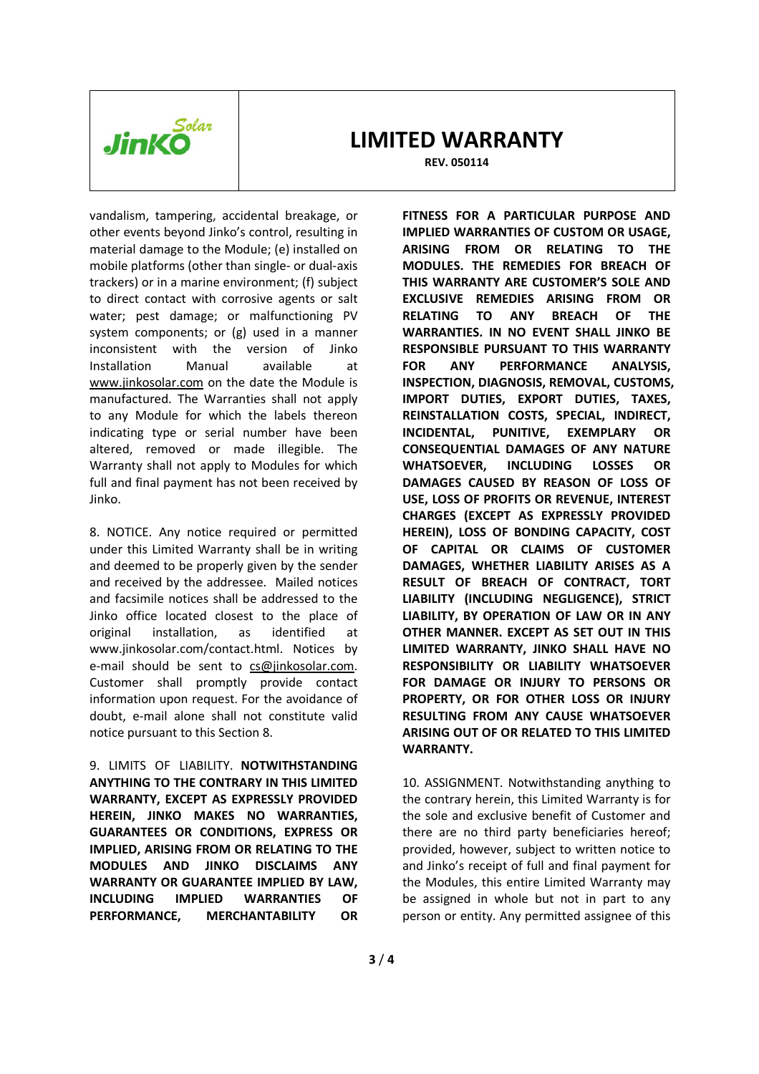

**REV. 050114** 

vandalism, tampering, accidental breakage, or other events beyond Jinko's control, resulting in material damage to the Module; (e) installed on mobile platforms (other than single- or dual-axis trackers) or in a marine environment; (f) subject to direct contact with corrosive agents or salt water; pest damage; or malfunctioning PV system components; or (g) used in a manner inconsistent with the version of Jinko Installation Manual available at www.jinkosolar.com on the date the Module is manufactured. The Warranties shall not apply to any Module for which the labels thereon indicating type or serial number have been altered, removed or made illegible. The Warranty shall not apply to Modules for which full and final payment has not been received by Jinko.

8. NOTICE. Any notice required or permitted under this Limited Warranty shall be in writing and deemed to be properly given by the sender and received by the addressee. Mailed notices and facsimile notices shall be addressed to the Jinko office located closest to the place of original installation, as identified at www.jinkosolar.com/contact.html. Notices by e-mail should be sent to cs@jinkosolar.com. Customer shall promptly provide contact information upon request. For the avoidance of doubt, e-mail alone shall not constitute valid notice pursuant to this Section 8.

9. LIMITS OF LIABILITY. **NOTWITHSTANDING ANYTHING TO THE CONTRARY IN THIS LIMITED WARRANTY, EXCEPT AS EXPRESSLY PROVIDED HEREIN, JINKO MAKES NO WARRANTIES, GUARANTEES OR CONDITIONS, EXPRESS OR IMPLIED, ARISING FROM OR RELATING TO THE MODULES AND JINKO DISCLAIMS ANY WARRANTY OR GUARANTEE IMPLIED BY LAW, INCLUDING IMPLIED WARRANTIES OF PERFORMANCE, MERCHANTABILITY OR** 

**FITNESS FOR A PARTICULAR PURPOSE AND IMPLIED WARRANTIES OF CUSTOM OR USAGE, ARISING FROM OR RELATING TO THE MODULES. THE REMEDIES FOR BREACH OF THIS WARRANTY ARE CUSTOMER'S SOLE AND EXCLUSIVE REMEDIES ARISING FROM OR RELATING TO ANY BREACH OF THE WARRANTIES. IN NO EVENT SHALL JINKO BE RESPONSIBLE PURSUANT TO THIS WARRANTY FOR ANY PERFORMANCE ANALYSIS, INSPECTION, DIAGNOSIS, REMOVAL, CUSTOMS, IMPORT DUTIES, EXPORT DUTIES, TAXES, REINSTALLATION COSTS, SPECIAL, INDIRECT, INCIDENTAL, PUNITIVE, EXEMPLARY OR CONSEQUENTIAL DAMAGES OF ANY NATURE WHATSOEVER, INCLUDING LOSSES OR DAMAGES CAUSED BY REASON OF LOSS OF USE, LOSS OF PROFITS OR REVENUE, INTEREST CHARGES (EXCEPT AS EXPRESSLY PROVIDED HEREIN), LOSS OF BONDING CAPACITY, COST OF CAPITAL OR CLAIMS OF CUSTOMER DAMAGES, WHETHER LIABILITY ARISES AS A RESULT OF BREACH OF CONTRACT, TORT LIABILITY (INCLUDING NEGLIGENCE), STRICT LIABILITY, BY OPERATION OF LAW OR IN ANY OTHER MANNER. EXCEPT AS SET OUT IN THIS LIMITED WARRANTY, JINKO SHALL HAVE NO RESPONSIBILITY OR LIABILITY WHATSOEVER FOR DAMAGE OR INJURY TO PERSONS OR PROPERTY, OR FOR OTHER LOSS OR INJURY RESULTING FROM ANY CAUSE WHATSOEVER ARISING OUT OF OR RELATED TO THIS LIMITED WARRANTY.**

10. ASSIGNMENT. Notwithstanding anything to the contrary herein, this Limited Warranty is for the sole and exclusive benefit of Customer and there are no third party beneficiaries hereof; provided, however, subject to written notice to and Jinko's receipt of full and final payment for the Modules, this entire Limited Warranty may be assigned in whole but not in part to any person or entity. Any permitted assignee of this